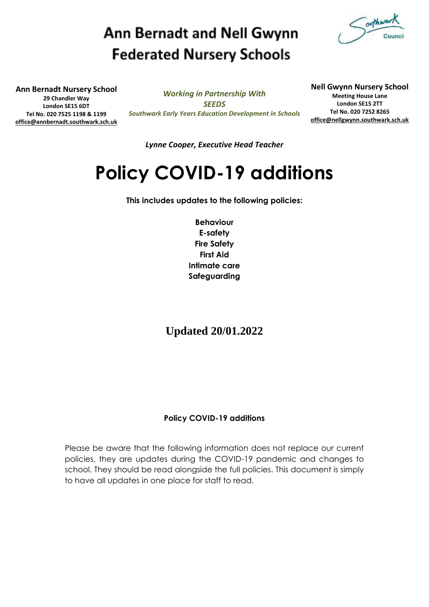## **Ann Bernadt and Nell Gwynn Federated Nursery Schools**



**Ann Bernadt Nursery School 29 Chandler Way London SE15 6DT Tel No. 020 7525 1198 & 1199 [office@annbernadt.southwark.sch.uk](mailto:office@annbernadt.southwark.sch.uk)**

*Working in Partnership With SEEDS Southwark Early Years Education Development in Schools* **Nell Gwynn Nursery School Meeting House Lane London SE15 2TT Tel No. 020 7252 8265 [office@nellgwynn.southwark.sch.uk](mailto:office@nellgwynn.southwark.sch.uk)**

*Lynne Cooper, Executive Head Teacher*

# **Policy COVID-19 additions**

**This includes updates to the following policies:**

**Behaviour E-safety Fire Safety First Aid Intimate care Safeguarding**

**Updated 20/01.2022**

## **Policy COVID-19 additions**

Please be aware that the following information does not replace our current policies, they are updates during the COVID-19 pandemic and changes to school. They should be read alongside the full policies. This document is simply to have all updates in one place for staff to read.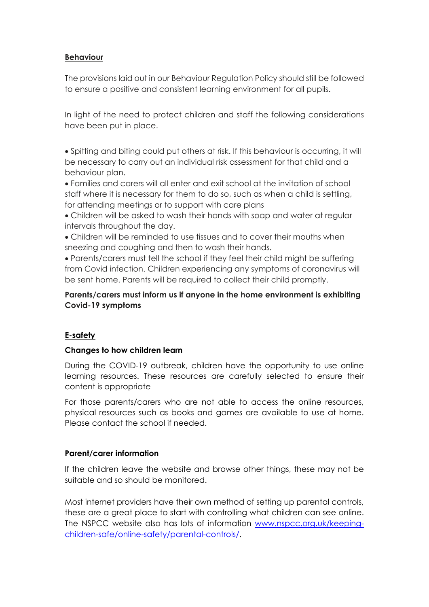## **Behaviour**

The provisions laid out in our Behaviour Regulation Policy should still be followed to ensure a positive and consistent learning environment for all pupils.

In light of the need to protect children and staff the following considerations have been put in place.

• Spitting and biting could put others at risk. If this behaviour is occurring, it will be necessary to carry out an individual risk assessment for that child and a behaviour plan.

• Families and carers will all enter and exit school at the invitation of school staff where it is necessary for them to do so, such as when a child is settling, for attending meetings or to support with care plans

- Children will be asked to wash their hands with soap and water at regular intervals throughout the day.
- Children will be reminded to use tissues and to cover their mouths when sneezing and coughing and then to wash their hands.

• Parents/carers must tell the school if they feel their child might be suffering from Covid infection. Children experiencing any symptoms of coronavirus will be sent home. Parents will be required to collect their child promptly.

## **Parents/carers must inform us if anyone in the home environment is exhibiting Covid-19 symptoms**

## **E-safety**

## **Changes to how children learn**

During the COVID-19 outbreak, children have the opportunity to use online learning resources. These resources are carefully selected to ensure their content is appropriate

For those parents/carers who are not able to access the online resources, physical resources such as books and games are available to use at home. Please contact the school if needed.

## **Parent/carer information**

If the children leave the website and browse other things, these may not be suitable and so should be monitored.

Most internet providers have their own method of setting up parental controls, these are a great place to start with controlling what children can see online. The NSPCC website also has lots of information [www.nspcc.org.uk/keeping](http://www.nspcc.org.uk/keeping-children-safe/online-safety/parental-controls/)[children-safe/online-safety/parental-controls/.](http://www.nspcc.org.uk/keeping-children-safe/online-safety/parental-controls/)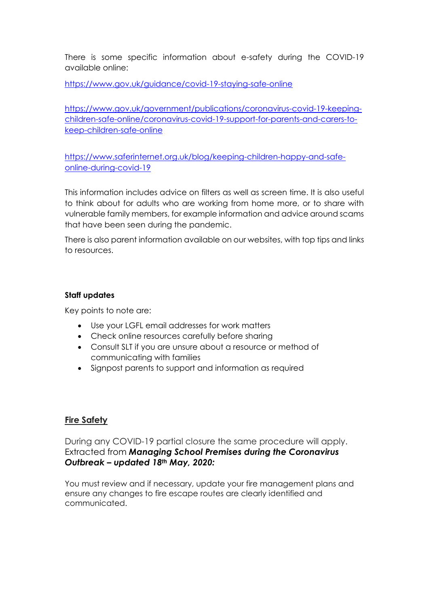There is some specific information about e-safety during the COVID-19 available online:

<https://www.gov.uk/guidance/covid-19-staying-safe-online>

[https://www.gov.uk/government/publications/coronavirus-covid-19-keeping](https://www.gov.uk/government/publications/coronavirus-covid-19-keeping-children-safe-online/coronavirus-covid-19-support-for-parents-and-carers-to-keep-children-safe-online)[children-safe-online/coronavirus-covid-19-support-for-parents-and-carers-to](https://www.gov.uk/government/publications/coronavirus-covid-19-keeping-children-safe-online/coronavirus-covid-19-support-for-parents-and-carers-to-keep-children-safe-online)[keep-children-safe-online](https://www.gov.uk/government/publications/coronavirus-covid-19-keeping-children-safe-online/coronavirus-covid-19-support-for-parents-and-carers-to-keep-children-safe-online)

[https://www.saferinternet.org.uk/blog/keeping-children-happy-and-safe](https://www.saferinternet.org.uk/blog/keeping-children-happy-and-safe-online-during-covid-19)[online-during-covid-19](https://www.saferinternet.org.uk/blog/keeping-children-happy-and-safe-online-during-covid-19)

This information includes advice on filters as well as screen time. It is also useful to think about for adults who are working from home more, or to share with vulnerable family members, for example information and advice around scams that have been seen during the pandemic.

There is also parent information available on our websites, with top tips and links to resources.

## **Staff updates**

Key points to note are:

- Use your LGFL email addresses for work matters
- Check online resources carefully before sharing
- Consult SLT if you are unsure about a resource or method of communicating with families
- Signpost parents to support and information as required

## **Fire Safety**

During any COVID-19 partial closure the same procedure will apply. Extracted from *Managing School Premises during the Coronavirus Outbreak – updated 18th May, 2020:*

You must review and if necessary, update your fire management plans and ensure any changes to fire escape routes are clearly identified and communicated.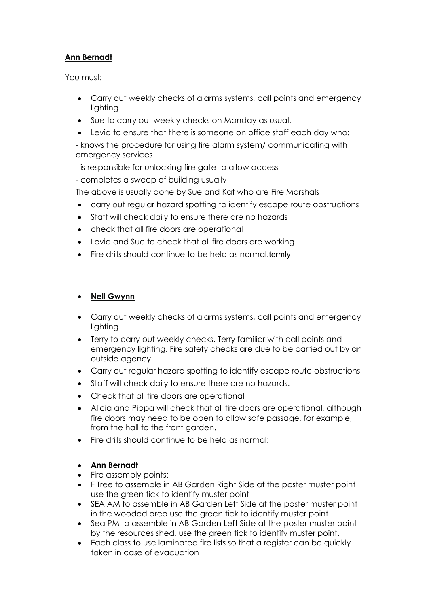## **Ann Bernadt**

You must:

- Carry out weekly checks of alarms systems, call points and emergency lighting
- Sue to carry out weekly checks on Monday as usual.
- Levia to ensure that there is someone on office staff each day who:

- knows the procedure for using fire alarm system/ communicating with emergency services

- is responsible for unlocking fire gate to allow access
- completes a sweep of building usually

The above is usually done by Sue and Kat who are Fire Marshals

- carry out regular hazard spotting to identify escape route obstructions
- Staff will check daily to ensure there are no hazards
- check that all fire doors are operational
- Levia and Sue to check that all fire doors are working
- Fire drills should continue to be held as normal.termly

## • **Nell Gwynn**

- Carry out weekly checks of alarms systems, call points and emergency lighting
- Terry to carry out weekly checks. Terry familiar with call points and emergency lighting. Fire safety checks are due to be carried out by an outside agency
- Carry out regular hazard spotting to identify escape route obstructions
- Staff will check daily to ensure there are no hazards.
- Check that all fire doors are operational
- Alicia and Pippa will check that all fire doors are operational, although fire doors may need to be open to allow safe passage, for example, from the hall to the front garden.
- Fire drills should continue to be held as normal:

## • **Ann Bernadt**

- Fire assembly points:
- F Tree to assemble in AB Garden Right Side at the poster muster point use the green tick to identify muster point
- SEA AM to assemble in AB Garden Left Side at the poster muster point in the wooded area use the green tick to identify muster point
- Sea PM to assemble in AB Garden Left Side at the poster muster point by the resources shed, use the green tick to identify muster point.
- Each class to use laminated fire lists so that a register can be quickly taken in case of evacuation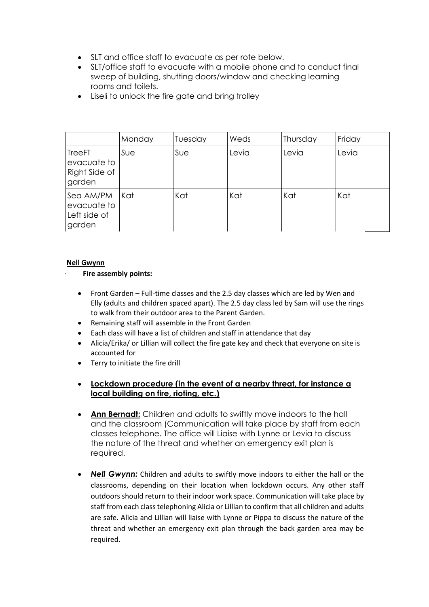- SLT and office staff to evacuate as per rote below.
- SLT/office staff to evacuate with a mobile phone and to conduct final sweep of building, shutting doors/window and checking learning rooms and toilets.
- Liseli to unlock the fire gate and bring trolley

|                                                         | Monday | Tuesday | Weds  | Thursday | Friday |
|---------------------------------------------------------|--------|---------|-------|----------|--------|
| <b>TreeFT</b><br>evacuate to<br>Right Side of<br>garden | Sue    | Sue     | Levia | Levia    | Levia  |
| Sea AM/PM<br>evacuate to<br>Left side of<br>garden      | Kat    | Kat     | Kat   | Kat      | Kat    |

#### **Nell Gwynn**

#### · **Fire assembly points:**

- Front Garden Full-time classes and the 2.5 day classes which are led by Wen and Elly (adults and children spaced apart). The 2.5 day class led by Sam will use the rings to walk from their outdoor area to the Parent Garden.
- Remaining staff will assemble in the Front Garden
- Each class will have a list of children and staff in attendance that day
- Alicia/Erika/ or Lillian will collect the fire gate key and check that everyone on site is accounted for
- Terry to initiate the fire drill
- **Lockdown procedure (in the event of a nearby threat, for instance a local building on fire, rioting, etc.)**
- **Ann Bernadt:** Children and adults to swiftly move indoors to the hall and the classroom (Communication will take place by staff from each classes telephone. The office will Liaise with Lynne or Levia to discuss the nature of the threat and whether an emergency exit plan is required.
- *Nell Gwynn:* Children and adults to swiftly move indoors to either the hall or the classrooms, depending on their location when lockdown occurs. Any other staff outdoors should return to their indoor work space. Communication will take place by staff from each class telephoning Alicia or Lillian to confirm that all children and adults are safe. Alicia and Lillian will liaise with Lynne or Pippa to discuss the nature of the threat and whether an emergency exit plan through the back garden area may be required.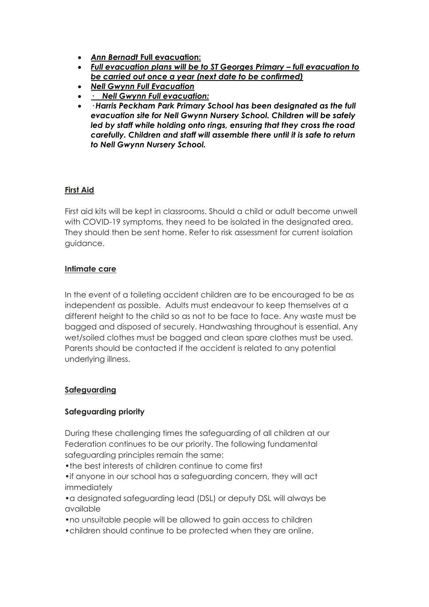- *Ann Bernadt* **Full evacuation:**
- Full evacuation plans will be to ST Georges Primary full evacuation to *be carried out once a year (next date to be confirmed)*
- *Nell Gwynn Full Evacuation*
- *· Nell Gwynn Full evacuation:*
- *· Harris Peckham Park Primary School has been designated as the full evacuation site for Nell Gwynn Nursery School. Children will be safely led by staff while holding onto rings, ensuring that they cross the road carefully. Children and staff will assemble there until it is safe to return to Nell Gwynn Nursery School.*

## **First Aid**

First aid kits will be kept in classrooms. Should a child or adult become unwell with COVID-19 symptoms, they need to be isolated in the designated area. They should then be sent home. Refer to risk assessment for current isolation guidance.

## **Intimate care**

In the event of a toileting accident children are to be encouraged to be as independent as possible. Adults must endeavour to keep themselves at a different height to the child so as not to be face to face. Any waste must be bagged and disposed of securely. Handwashing throughout is essential. Any wet/soiled clothes must be bagged and clean spare clothes must be used. Parents should be contacted if the accident is related to any potential underlying illness.

## **Safeguarding**

## **Safeguarding priority**

During these challenging times the safeguarding of all children at our Federation continues to be our priority. The following fundamental safeguarding principles remain the same:

•the best interests of children continue to come first

•if anyone in our school has a safeguarding concern, they will act immediately

•a designated safeguarding lead (DSL) or deputy DSL will always be available

•no unsuitable people will be allowed to gain access to children

•children should continue to be protected when they are online.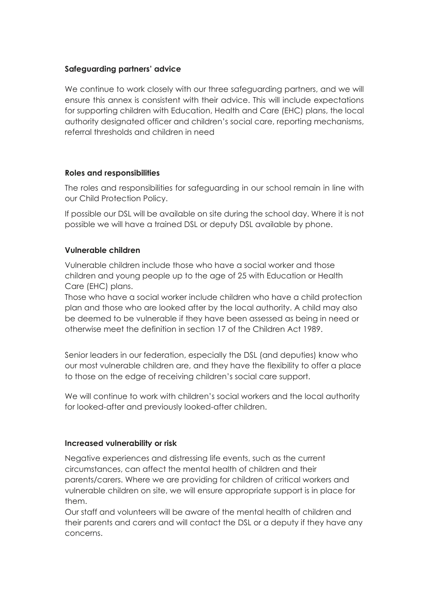## **Safeguarding partners' advice**

We continue to work closely with our three safeguarding partners, and we will ensure this annex is consistent with their advice. This will include expectations for supporting children with Education, Health and Care (EHC) plans, the local authority designated officer and children's social care, reporting mechanisms, referral thresholds and children in need

## **Roles and responsibilities**

The roles and responsibilities for safeguarding in our school remain in line with our Child Protection Policy.

If possible our DSL will be available on site during the school day. Where it is not possible we will have a trained DSL or deputy DSL available by phone.

## **Vulnerable children**

Vulnerable children include those who have a social worker and those children and young people up to the age of 25 with Education or Health Care (EHC) plans.

Those who have a social worker include children who have a child protection plan and those who are looked after by the local authority. A child may also be deemed to be vulnerable if they have been assessed as being in need or otherwise meet the definition in section 17 of the Children Act 1989.

Senior leaders in our federation, especially the DSL (and deputies) know who our most vulnerable children are, and they have the flexibility to offer a place to those on the edge of receiving children's social care support.

We will continue to work with children's social workers and the local authority for looked-after and previously looked-after children.

#### **Increased vulnerability or risk**

Negative experiences and distressing life events, such as the current circumstances, can affect the mental health of children and their parents/carers. Where we are providing for children of critical workers and vulnerable children on site, we will ensure appropriate support is in place for them.

Our staff and volunteers will be aware of the mental health of children and their parents and carers and will contact the DSL or a deputy if they have any concerns.